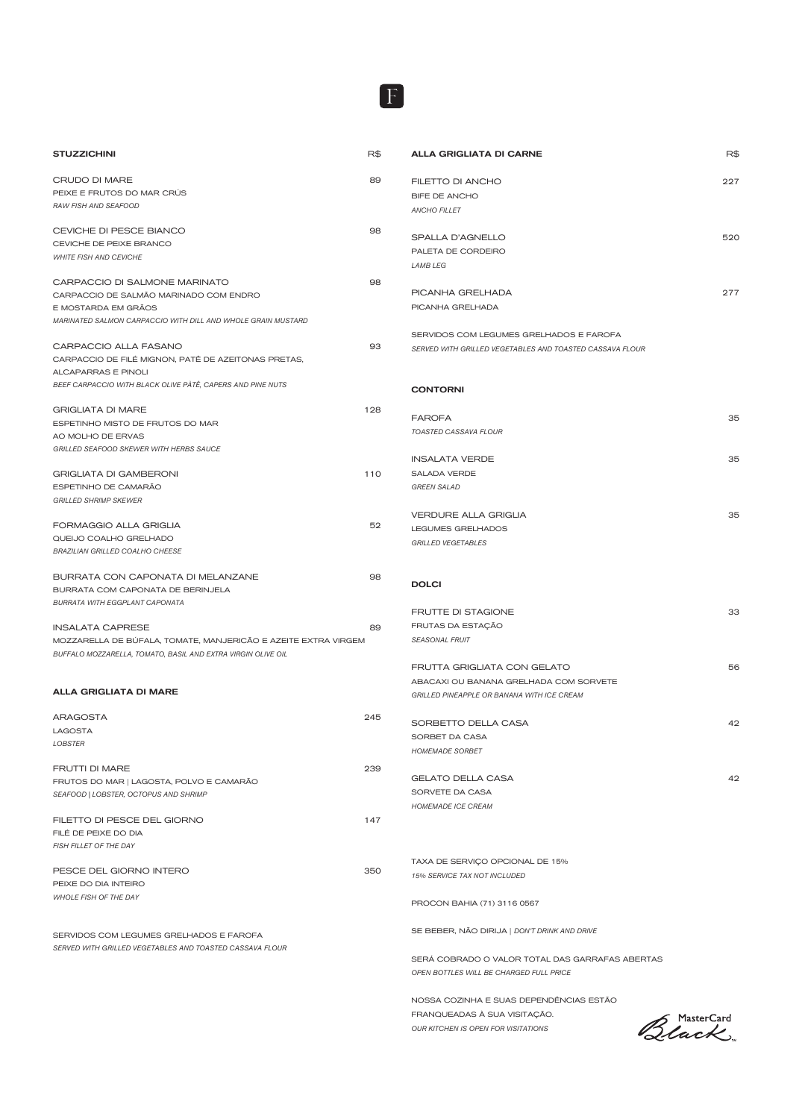| R\$<br><b>STUZZICHINI</b>                                      |  |
|----------------------------------------------------------------|--|
| CRUDO DI MARE<br>89                                            |  |
| PEIXE E FRUTOS DO MAR CRÚS                                     |  |
| RAW FISH AND SEAFOOD                                           |  |
|                                                                |  |
| CEVICHE DI PESCE BIANCO<br>98                                  |  |
| CEVICHE DE PEIXE BRANCO                                        |  |
| <b>WHITE FISH AND CEVICHE</b>                                  |  |
|                                                                |  |
| CARPACCIO DI SALMONE MARINATO<br>98                            |  |
| CARPACCIO DE SALMÃO MARINADO COM ENDRO                         |  |
| E MOSTARDA EM GRÃOS                                            |  |
| MARINATED SALMON CARPACCIO WITH DILL AND WHOLE GRAIN MUSTARD   |  |
| CARPACCIO ALLA FASANO<br>93                                    |  |
| CARPACCIO DE FILÉ MIGNON, PATÊ DE AZEITONAS PRETAS,            |  |
| <b>ALCAPARRAS E PINOLI</b>                                     |  |
| BEEF CARPACCIO WITH BLACK OLIVE PÀTÊ, CAPERS AND PINE NUTS     |  |
|                                                                |  |
| <b>GRIGLIATA DI MARE</b><br>128                                |  |
| ESPETINHO MISTO DE FRUTOS DO MAR                               |  |
| AO MOLHO DE ERVAS                                              |  |
| <b>GRILLED SEAFOOD SKEWER WITH HERBS SAUCE</b>                 |  |
|                                                                |  |
| <b>GRIGLIATA DI GAMBERONI</b><br>110                           |  |
| ESPETINHO DE CAMARÃO                                           |  |
| <b>GRILLED SHRIMP SKEWER</b>                                   |  |
| FORMAGGIO ALLA GRIGLIA<br>52                                   |  |
| QUEIJO COALHO GRELHADO                                         |  |
| <b>BRAZILIAN GRILLED COALHO CHEESE</b>                         |  |
|                                                                |  |
| BURRATA CON CAPONATA DI MELANZANE<br>98                        |  |
| BURRATA COM CAPONATA DE BERINJELA                              |  |
| <b>BURRATA WITH EGGPLANT CAPONATA</b>                          |  |
|                                                                |  |
| <b>INSALATA CAPRESE</b><br>89                                  |  |
| MOZZARELLA DE BÚFALA, TOMATE, MANJERICÃO E AZEITE EXTRA VIRGEM |  |
| BUFFALO MOZZARELLA, TOMATO, BASIL AND EXTRA VIRGIN OLIVE OIL   |  |
|                                                                |  |
| <b>ALLA GRIGLIATA DI MARE</b>                                  |  |
| <b>ARAGOSTA</b><br>245                                         |  |

F

| <b>LAGOSTA</b>                                           |     |
|----------------------------------------------------------|-----|
| <b>LOBSTER</b>                                           |     |
|                                                          |     |
| <b>FRUTTI DI MARE</b>                                    | 239 |
| FRUTOS DO MAR   LAGOSTA, POLVO E CAMARÃO                 |     |
| SEAFOOD   LOBSTER, OCTOPUS AND SHRIMP                    |     |
|                                                          |     |
| FILETTO DI PESCE DEL GIORNO                              | 147 |
| FILE DE PEIXE DO DIA                                     |     |
| FISH FILLET OF THE DAY                                   |     |
|                                                          |     |
| PESCE DEL GIORNO INTERO                                  | 350 |
| PFIXE DO DIA INTEIRO                                     |     |
| <b>WHOLE FISH OF THE DAY</b>                             |     |
|                                                          |     |
|                                                          |     |
| SERVIDOS COM LEGUMES GRELHADOS E FAROFA                  |     |
| SERVED WITH GRILLED VEGETABLES AND TOASTED CASSAVA FLOUR |     |

| FILETTO DI ANCHO<br>BIFE DE ANCHO                                                    | 227      |
|--------------------------------------------------------------------------------------|----------|
| <b>ANCHO FILLET</b>                                                                  |          |
|                                                                                      |          |
| SPALLA D'AGNELLO                                                                     | 520      |
| PALETA DE CORDEIRO                                                                   |          |
| <b>LAMB LEG</b>                                                                      |          |
| PICANHA GRELHADA                                                                     | 277      |
| PICANHA GRELHADA                                                                     |          |
| SERVIDOS COM LEGUMES GRELHADOS E FAROFA                                              |          |
| SERVED WITH GRILLED VEGETABLES AND TOASTED CASSAVA FLOUR                             |          |
|                                                                                      |          |
| <b>CONTORNI</b>                                                                      |          |
| <b>FAROFA</b>                                                                        | 35       |
| <b>TOASTED CASSAVA FLOUR</b>                                                         |          |
|                                                                                      |          |
| <b>INSALATA VERDE</b>                                                                | 35       |
| <b>SALADA VERDE</b><br><b>GREEN SALAD</b>                                            |          |
|                                                                                      |          |
| <b>VERDURE ALLA GRIGLIA</b>                                                          | 35       |
| <b>LEGUMES GRELHADOS</b>                                                             |          |
| <b>GRILLED VEGETABLES</b>                                                            |          |
|                                                                                      |          |
| <b>DOLCI</b>                                                                         |          |
|                                                                                      |          |
| FRUTTE DI STAGIONE<br>FRUTAS DA ESTAÇÃO                                              | 33       |
| <b>SEASONAL FRUIT</b>                                                                |          |
|                                                                                      |          |
| FRUTTA GRIGLIATA CON GELATO                                                          | 56       |
| ABACAXI OU BANANA GRELHADA COM SORVETE<br>GRILLED PINEAPPLE OR BANANA WITH ICE CREAM |          |
|                                                                                      |          |
| SORBETTO DELLA CASA                                                                  |          |
| SORBET DA CASA<br><b>HOMEMADE SORBET</b>                                             |          |
|                                                                                      |          |
| <b>GELATO DELLA CASA</b>                                                             |          |
| SORVETE DA CASA                                                                      |          |
| <b>HOMEMADE ICE CREAM</b>                                                            |          |
|                                                                                      |          |
| TAXA DE SERVIÇO OPCIONAL DE 15%<br>15% SERVICE TAX NOT INCLUDED                      | 42<br>42 |
| PROCON BAHIA (71) 3116 0567                                                          |          |

NOSSA COZINHA E SUAS DEPENDÊNCIAS ESTÃO FRANQUEADAS À SUA VISITAÇÃO. *OUR KITCHEN IS OPEN FOR VISITATIONS*

Black